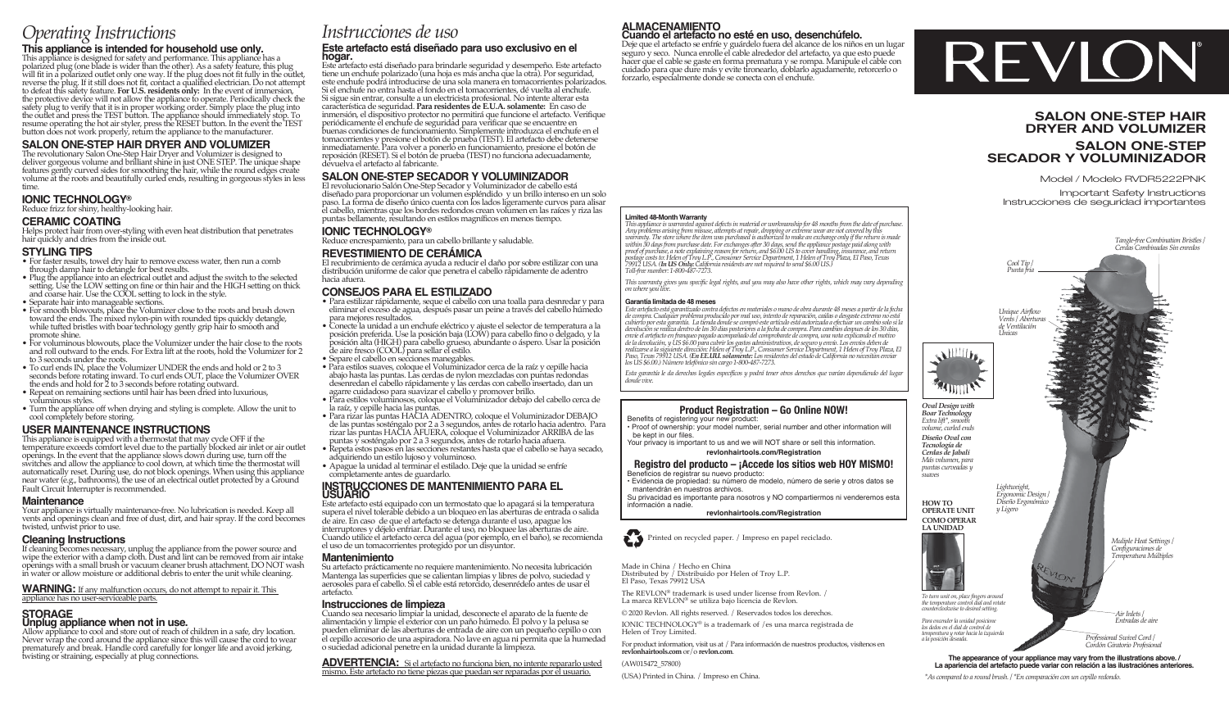# *Operating Instructions*

# **This appliance is intended for household use only.**

This appliance is designed for safety and performance. This appliance has a polarized plug (one blade is wider than the other). As a safety feature, this plug will fit in a polarized outlet only one way. If the plug does not fit fully in the outlet, reverse the plug. If it still does not fit, contact a qualified electrician. Do not attempt to defeat this safety feature. For U.S. button does not work properly, return the appliance to the manufacturer.

## **SALON ONE-STEP HAIR DRYER AND VOLUMIZER**

The revolutionary Salon One-Step Hair Dryer and Volumizer is designed to deliver gorgeous volume and brilliant shine in just ONE STEP. The unique shape features gently curved sides for smoothing the hair, while the round edges create volume at the roots and beautifully curled ends, resulting in gorgeous styles in less time.

## **IONIC TECHNOLOGY®**

Reduce frizz for shiny, healthy-looking hair.

## **CERAMIC COATING**

Helps protect hair from over-styling with even heat distribution that penetrates hair quickly and dries from the inside out.

#### **STYLING TIPS**

- For faster results, towel dry hair to remove excess water, then run a comb through damp hair to detangle for best results.
- Plug the appliance into an electrical outlet and adjust the switch to the selected setting. Use the LOW setting on fine or thin hair and the HIGH setting on thick and coarse hair. Use the COOL setting to lock in the style. • Separate hair into manageable sections.
- For smooth blowouts, place the Volumizer close to the roots and brush down toward the ends. The mixed nylon-pin with rounded tips quickly detangle, while tufted bristles with boar technology gently grip hair to smooth and promote shine.
- For voluminous blowouts, place the Volumizer under the hair close to the roots and roll outward to the ends. For Extra lift at the roots, hold the Volumizer for 2 to 3 seconds under the roots.
- To curl ends IN, place the Volumizer UNDER the ends and hold or 2 to 3 seconds before rotating inward. To curl ends OUT, place the Volumizer OVER the ends and hold for 2 to 3 seconds before rotating outward. • Repeat on remaining sections until hair has been dried into luxurious,
- voluminous styles.
- Turn the appliance off when drying and styling is complete. Allow the unit to cool completely before storing.

## **USER MAINTENANCE INSTRUCTIONS**

This appliance is equipped with a thermostat that may cycle OFF if the temperature exceeds comfort level due to the partially blocked air inlet or air outlet openings. In the event that the appliance slows down during use, turn off the switches and allow the appliance to cool down, at which time the thermostat will automatically reset. During use, do not block openings. When using this appliance near water (e.g., bathrooms), the use of an electrical outlet protected by a Ground Fault Circuit Interrupter is recommended.

#### **Maintenance**

Your appliance is virtually maintenance-free. No lubrication is needed. Keep all vents and openings clean and free of dust, dirt, and hair spray. If the cord becomes twisted, untwist prior to use.

#### **Cleaning Instructions**

If cleaning becomes necessary, unplug the appliance from the power source and wipe the exterior with a damp cloth. Dust and lint can be removed from air intake openings with a small brush or vacuum cleaner brush attachment. DO NOT wash in water or allow moisture or additional debris to enter the unit while cleaning.

**WARNING:** If any malfunction occurs, do not attempt to repair it. This appliance has no user-serviceable parts.

# **STORAGE Unplug appliance when not in use.**

Allow appliance to cool and store out of reach of children in a safe, dry location. Never wrap the cord around the appliance since this will cause the cord to wear prematurely and break. Handle cord carefully for longer life and avoid jerking, twisting or straining, especially at plug connections.

# *Instrucciones de uso*

#### **Este artefacto está diseñado para uso exclusivo en el hogar.**

Este artefacto está diseñado para brindarle seguridad y desempeño. Este artefacto tiene un enchufe polarizado (una hoja es más ancha que la otra). Por seguridad, este enchufe podrá introducirse de una sola manera en tomacorrientes polarizados. Si el enchufe no entra hasta el fondo en el tomacorrientes, dé vuelta al enchufe. Si sigue sin entrar, consulte a un electricista profesional. No intente alterar esta característica de seguridad. **Para residentes de E.U.A. solamente:** En caso de inmersión, el dispositivo protector no permitirá que funcione el artefacto. Verifique periódicamente el enchufe de seguridad para verificar que se encuentre en buenas condiciones de funcionamiento. Simplemente introduzca el enchufe en el tomacorrientes y presione el botón de prueba (TEST). El artefacto debe detenerse inmediatamente. Para volver a ponerlo en funcionamiento, presione el botón de reposición (RESET). Si el botón de prueba (TEST) no funciona adecuadamente, devuelva el artefacto al fabricante.

## **SALON ONE-STEP SECADOR Y VOLUMINIZADOR**

El revolucionario Salón One-Step Secador y Voluminizador de cabello está diseñado para proporcionar un volumen espléndido y un brillo intenso en un solo paso. La forma de diseño único cuenta con los lados ligeramente curvos para alisar el cabello, mientras que los bordes redondos crean volumen en las raíces y riza las puntas bellamente, resultando en estilos magníficos en menos tiempo.

#### **IONIC TECHNOLOGY®**

Reduce encrespamiento, para un cabello brillante y saludable.

## **REVESTIMIENTO DE CERÁMICA**

El recubrimiento de cerámica ayuda a reducir el daño por sobre estilizar con una distribución uniforme de calor que penetra el cabello rápidamente de adentro hacia afuera.

#### **CONSEJOS PARA EL ESTILIZADO**

- Para estilizar rápidamente, seque el cabello con una toalla para desnredar y para eliminar el exceso de agua, después pasar un peine a través del cabello húmedo para mejores resultados.
- Conecte la unidad a un enchufe eléctrico y ajuste el selector de temperatura a la posición preferida. Use la posición baja (LOW) para cabello fino o delgado, y la posición alta (HIGH) para cabello grueso, abundante o áspero. Usar la posición de aire fresco (COOL) para sellar el estilo.
- Separe el cabello en secciones manegables.
- Para estilos suaves, coloque el Voluminizador cerca de la raíz y cepille hacia abajo hasta las puntas. Las cerdas de nylon mezcladas con puntas redondas desenredan el cabello rápidamente y las cerdas con cabello insertado, dan un agarre cuidadoso para suavizar el cabello y promover brillo.
- Para estilos voluminosos, coloque el Voluminizador debajo del cabello cerca de la raíz, y cepille hacia las puntas.
- Para rizar las puntas HACIA ADENTRO, coloque el Voluminizador DEBAJO de las puntas sosténgalo por 2 a 3 segundos, antes de rotarlo hacia adentro. Para rizar las puntas HACIA AFUERA, coloque el Voluminizador ARRIBA de las puntas y sosténgalo por 2 a 3 segundos, antes de rotarlo hacia afuera.
- Repeta estos pasos en las secciones restantes hasta que el cabello se haya secado, adquiriendo un estilo lujoso y voluminoso.
- Apague la unidad al terminar el estilado. Deje que la unidad se enfríe completamente antes de guardarlo.

# **INSTRUCCIONES DE MANTENIMIENTO PARA EL USUARIO**

Este artefacto está equipado con un termostato que lo apagará si la temperatura supera el nivel tolerable debido a un bloqueo en las aberturas de entrada o salida de aire. En caso de que el artefacto se detenga durante el uso, apague los interruptores y déjelo enfriar. Durante el uso, no bloquee las aberturas de aire. Cuando utilice el artefacto cerca del agua (por ejemplo, en el baño), se recomienda el uso de un tomacorrientes protegido por un disyuntor.

#### **Mantenimiento**

Su artefacto prácticamente no requiere mantenimiento. No necesita lubricación Mantenga las superficies que se calientan limpias y libres de polvo, suciedad y aerosoles para el cabello. Si el cable está retorcido, desenrédelo antes de usar el artefacto.

#### **Instrucciones de limpieza**

Cuando sea necesario limpiar la unidad, desconecte el aparato de la fuente de alimentación y limpie el exterior con un paño húmedo. El polvo y la pelusa se pueden eliminar de las aberturas de entrada de aire con un pequeño cepillo o con el cepillo accesorio de una aspiradora. No lave en agua ni permita que la humedad o suciedad adicional penetre en la unidad durante la limpieza.

**ADVERTENCIA:** Si el artefacto no funciona bien, no intente repararlo usted mismo. Este artefacto no tiene piezas que puedan ser reparadas por el usuario.

# **ALMACENAMIENTO Cuando el artefacto no esté en uso, desenchúfelo.**

Deje que el artefacto se enfríe y guárdelo fuera del alcance de los niños en un lugar seguro y seco. Nunca enrolle el cable alrededor del artefacto, ya que esto puede hacer que el cable se gaste en forma prematura y se rompa. Manipule el cable con cuidado para que dure más y evite tironearlo, doblarlo agudamente, retorcerlo o forzarlo, especialmente donde se conecta con el enchufe.

# REVION

## SALON ONE-STEP HAIR DRYER AND VOLUMIZER

## SALON ONE-STEP SECADOR Y VOLUMINIZADOR

Model / Modelo RVDR5222PNK

Important Safety Instructions Instrucciones de seguridad importantes



*\*As compared to a round brush. / \*En comparación con un cepillo redondo.*



**Limited 48-Month Warranty** *This appliance is warranted against defects in material or workmanship for 48 months from the date of purchase.*  Any problems arising from misuse, attempts at repair, dropping or extreme wear are not covered by this<br>warranty. The store where the item was purchased is authorized to make an exchange only if the return is made<br>within 30 postage costs to: Helen of Troy L.P., Consumer Service Department, 1 Helen of Troy Plaza, El Paso, Texas<br>79912 USA. (**In US Only:** California residents are not required to send \$6.00 US.)<br>Toll-free number: 1-800-487-7273.

# *This warranty gives you specific legal rights, and you may also have other rights, which may vary depending on where you live.*

#### **Garantía limitada de 48 meses**

*Este artefacto está garantizado contra defectos en materiales o mano de obra durante 48 meses a partir de la fecha de compra. Cualquier problema producido por mal uso, intento de reparación, caídas o desgaste extremo no está cubierto por esta garantía. La tienda donde se compró este artículo está autorizada a efectuar un cambio solo si la devolución se realiza dentro de los 30 dias posteriores a la fecha de compra. Para cambios despues de los 30 días,*  envie el artefacto en franqueo pagado acompañado del comprobante de compra, una nota explicando el motivo<br>de la devolución, y US \$6.00 para cubrir los gastos administrativos, de seguro y envío. Los envíos deben de realizarse a la siguiente dirección: Helen of Troy L.P., Consumer Service Department, 1 Helen of Troy Plaza, El<br>Paso, Texas 79912 USA. (En **EE.UU. solamente:** Los residentes del estado de California no necesitan enviar<br>los

*Esta garantía le da derechos legales específicos y podrá tener otros derechos que varían dependiendo del lugar donde vive.*

## **Product Registration – Go Online NOW!**

Benefits of registering your new product: • Proof of ownership: your model number, serial number and other information will be kept in our files

Your privacy is important to us and we will NOT share or sell this information. **revlonhairtools.com/Registration**

**Registro del producto – ¡Accede los sitios web HOY MISMO!**

Beneficios de registrar su nuevo producto: • Evidencia de propiedad: su número de modelo, número de serie y otros datos se mantendrán en nuestros archivos.

Su privacidad es importante para nosotros y NO compartiermos ni venderemos esta información a nadie.

**revlonhairtools.com/Registration** 

Printed on recycled paper. / Impreso en papel reciclado.

Made in China / Hecho en China Distributed by / Distribuido por Helen of Troy L.P. El Paso, Texas 79912 USA

The REVLON® trademark is used under license from Revlon. / La marca REVLON® se utiliza bajo licencia de Revlon.

© 2020 Revlon. All rights reserved. / Reservados todos los derechos.

IONIC TECHNOLOGY® is a trademark of /es una marca registrada de Helen of Troy Limited.

For product information, visit us at / Para información de nuestros productos, visítenos en **revlonhairtools.com** or/o **revlon.com**.

(AW015472\_57800)

(USA) Printed in China. / Impreso en China.